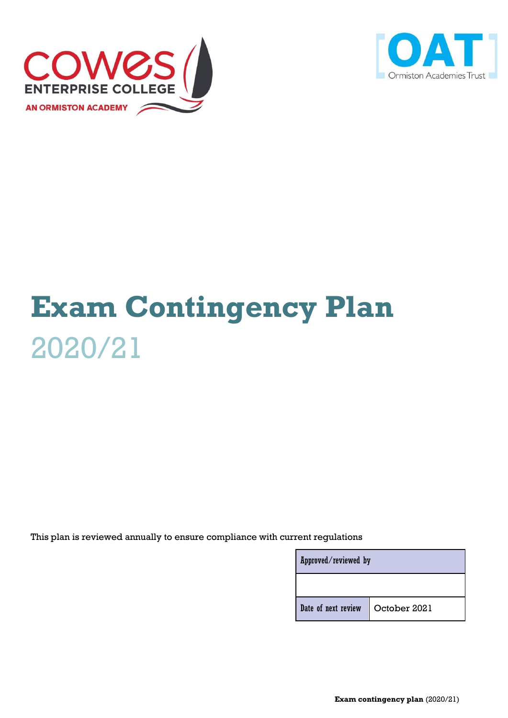



# **Exam Contingency Plan** 2020/21

This plan is reviewed annually to ensure compliance with current regulations

| Approved/reviewed by |              |  |
|----------------------|--------------|--|
|                      |              |  |
| Date of next review  | October 2021 |  |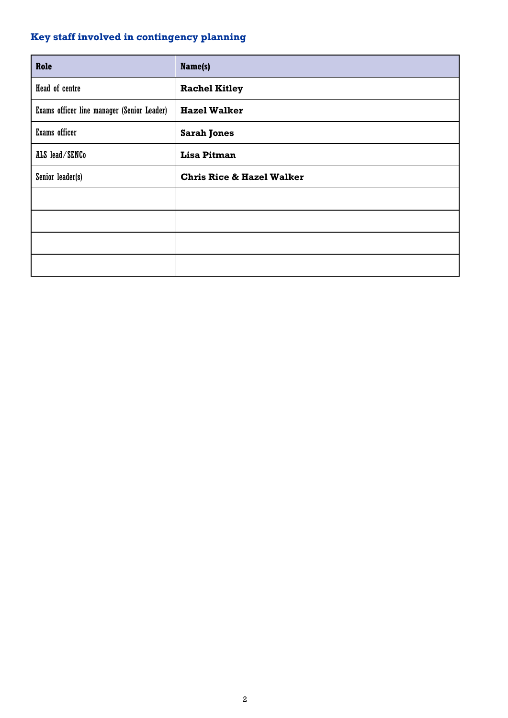# <span id="page-1-0"></span>**Key staff involved in contingency planning**

| Role                                       | Name(s)                              |
|--------------------------------------------|--------------------------------------|
| Head of centre                             | <b>Rachel Kitley</b>                 |
| Exams officer line manager (Senior Leader) | <b>Hazel Walker</b>                  |
| Exams officer                              | <b>Sarah Jones</b>                   |
| ALS lead/SENCo                             | <b>Lisa Pitman</b>                   |
| Senior leader(s)                           | <b>Chris Rice &amp; Hazel Walker</b> |
|                                            |                                      |
|                                            |                                      |
|                                            |                                      |
|                                            |                                      |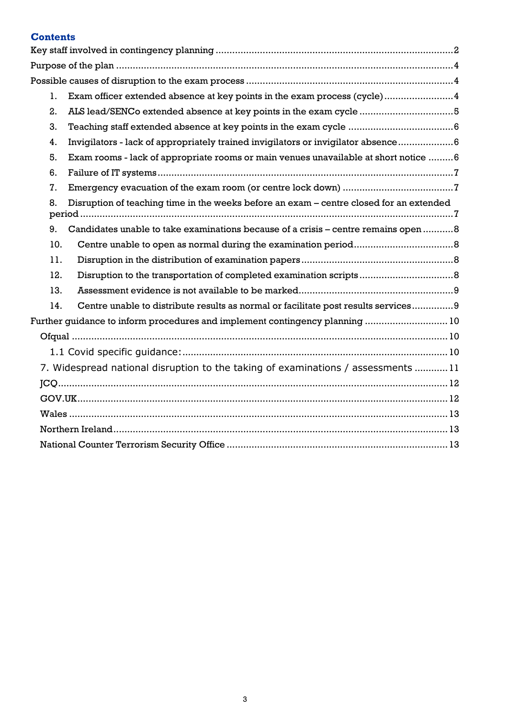# **Contents**

| 1.  | Exam officer extended absence at key points in the exam process (cycle)4                |  |  |  |
|-----|-----------------------------------------------------------------------------------------|--|--|--|
| 2.  | ALS lead/SENCo extended absence at key points in the exam cycle 5                       |  |  |  |
| 3.  |                                                                                         |  |  |  |
| 4.  | Invigilators - lack of appropriately trained invigilators or invigilator absence  6     |  |  |  |
| 5.  | Exam rooms - lack of appropriate rooms or main venues unavailable at short notice 6     |  |  |  |
| 6.  |                                                                                         |  |  |  |
| 7.  |                                                                                         |  |  |  |
| 8.  | Disruption of teaching time in the weeks before an exam – centre closed for an extended |  |  |  |
| 9.  | Candidates unable to take examinations because of a crisis - centre remains open 8      |  |  |  |
| 10. |                                                                                         |  |  |  |
| 11. |                                                                                         |  |  |  |
| 12. |                                                                                         |  |  |  |
| 13. |                                                                                         |  |  |  |
| 14. | Centre unable to distribute results as normal or facilitate post results services9      |  |  |  |
|     | Further guidance to inform procedures and implement contingency planning  10            |  |  |  |
|     |                                                                                         |  |  |  |
|     |                                                                                         |  |  |  |
|     | 7. Widespread national disruption to the taking of examinations / assessments 11        |  |  |  |
|     |                                                                                         |  |  |  |
|     |                                                                                         |  |  |  |
|     |                                                                                         |  |  |  |
|     |                                                                                         |  |  |  |
|     |                                                                                         |  |  |  |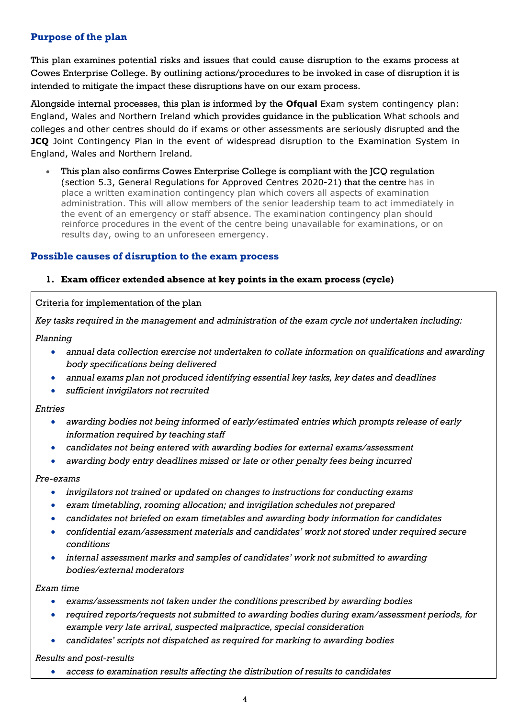# <span id="page-3-0"></span>**Purpose of the plan**

This plan examines potential risks and issues that could cause disruption to the exams process at Cowes Enterprise College. By outlining actions/procedures to be invoked in case of disruption it is intended to mitigate the impact these disruptions have on our exam process.

Alongside internal processes, this plan is informed by the **Ofqual** Exam system contingency plan: England, Wales and Northern Ireland which provides guidance in the publication What schools and colleges and other centres should do if exams or other assessments are seriously disrupted and the **JCQ** Joint Contingency Plan in the event of widespread disruption to the Examination System in England, Wales and Northern Ireland*.*

• This plan also confirms Cowes Enterprise College is compliant with the JCQ regulation (section 5.3, General Regulations for Approved Centres 2020-21) that the centre has in place a written examination contingency plan which covers all aspects of examination administration. This will allow members of the senior leadership team to act immediately in the event of an emergency or staff absence. The examination contingency plan should reinforce procedures in the event of the centre being unavailable for examinations, or on results day, owing to an unforeseen emergency.

# <span id="page-3-1"></span>**Possible causes of disruption to the exam process**

#### <span id="page-3-2"></span>**1. Exam officer extended absence at key points in the exam process (cycle)**

#### Criteria for implementation of the plan

*Key tasks required in the management and administration of the exam cycle not undertaken including:*

#### *Planning*

- *annual data collection exercise not undertaken to collate information on qualifications and awarding body specifications being delivered*
- *annual exams plan not produced identifying essential key tasks, key dates and deadlines*
- *sufficient invigilators not recruited*

#### *Entries*

- *awarding bodies not being informed of early/estimated entries which prompts release of early information required by teaching staff*
- *candidates not being entered with awarding bodies for external exams/assessment*
- *awarding body entry deadlines missed or late or other penalty fees being incurred*

#### *Pre-exams*

- *invigilators not trained or updated on changes to instructions for conducting exams*
- *exam timetabling, rooming allocation; and invigilation schedules not prepared*
- *candidates not briefed on exam timetables and awarding body information for candidates*
- *confidential exam/assessment materials and candidates' work not stored under required secure conditions*
- *internal assessment marks and samples of candidates' work not submitted to awarding bodies/external moderators*

#### *Exam time*

- *exams/assessments not taken under the conditions prescribed by awarding bodies*
- *required reports/requests not submitted to awarding bodies during exam/assessment periods, for example very late arrival, suspected malpractice, special consideration*
- *candidates' scripts not dispatched as required for marking to awarding bodies*

*Results and post-results*

• *access to examination results affecting the distribution of results to candidates*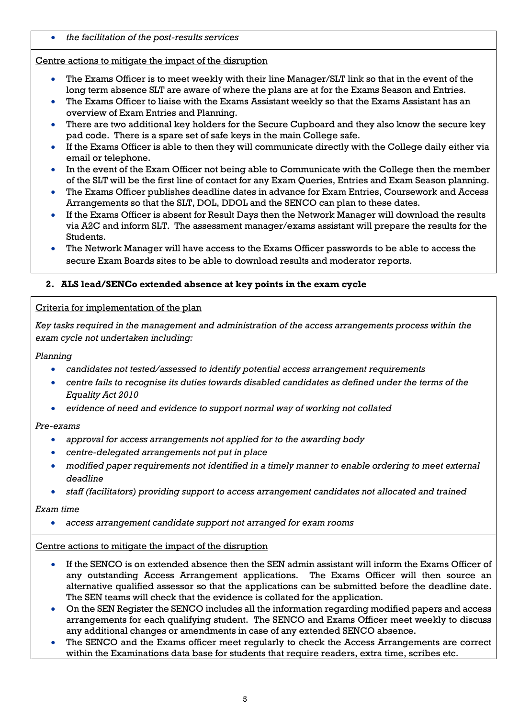• *the facilitation of the post-results services*

# Centre actions to mitigate the impact of the disruption

- The Exams Officer is to meet weekly with their line Manager/SLT link so that in the event of the long term absence SLT are aware of where the plans are at for the Exams Season and Entries.
- The Exams Officer to liaise with the Exams Assistant weekly so that the Exams Assistant has an overview of Exam Entries and Planning.
- There are two additional key holders for the Secure Cupboard and they also know the secure key pad code. There is a spare set of safe keys in the main College safe.
- If the Exams Officer is able to then they will communicate directly with the College daily either via email or telephone.
- In the event of the Exam Officer not being able to Communicate with the College then the member of the SLT will be the first line of contact for any Exam Queries, Entries and Exam Season planning.
- The Exams Officer publishes deadline dates in advance for Exam Entries, Coursework and Access Arrangements so that the SLT, DOL, DDOL and the SENCO can plan to these dates.
- If the Exams Officer is absent for Result Days then the Network Manager will download the results via A2C and inform SLT. The assessment manager/exams assistant will prepare the results for the Students.
- The Network Manager will have access to the Exams Officer passwords to be able to access the secure Exam Boards sites to be able to download results and moderator reports.

# <span id="page-4-0"></span>**2. ALS lead/SENCo extended absence at key points in the exam cycle**

# Criteria for implementation of the plan

*Key tasks required in the management and administration of the access arrangements process within the exam cycle not undertaken including:*

# *Planning*

- *candidates not tested/assessed to identify potential access arrangement requirements*
- *centre fails to recognise its duties towards disabled candidates as defined under the terms of the Equality Act 2010*
- *evidence of need and evidence to support normal way of working not collated*

#### *Pre-exams*

- *approval for access arrangements not applied for to the awarding body*
- *centre-delegated arrangements not put in place*
- *modified paper requirements not identified in a timely manner to enable ordering to meet external deadline*
- *staff (facilitators) providing support to access arrangement candidates not allocated and trained*

#### *Exam time*

• *access arrangement candidate support not arranged for exam rooms*

#### Centre actions to mitigate the impact of the disruption

- If the SENCO is on extended absence then the SEN admin assistant will inform the Exams Officer of any outstanding Access Arrangement applications. The Exams Officer will then source an alternative qualified assessor so that the applications can be submitted before the deadline date. The SEN teams will check that the evidence is collated for the application.
- On the SEN Register the SENCO includes all the information regarding modified papers and access arrangements for each qualifying student. The SENCO and Exams Officer meet weekly to discuss any additional changes or amendments in case of any extended SENCO absence.
- The SENCO and the Exams officer meet regularly to check the Access Arrangements are correct within the Examinations data base for students that require readers, extra time, scribes etc.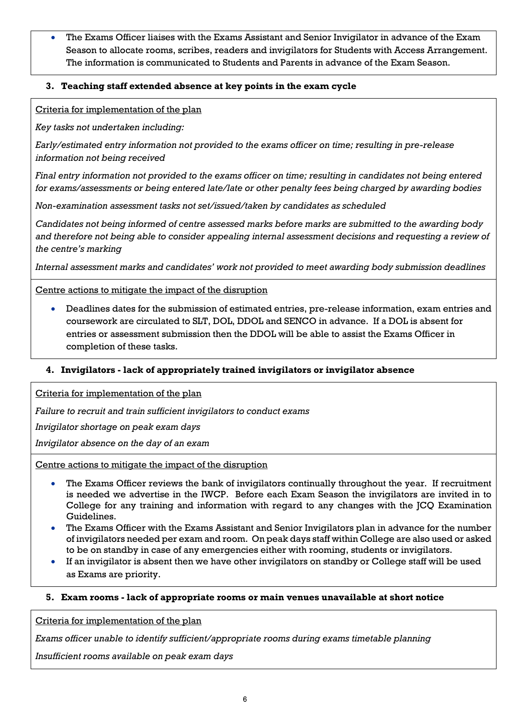The Exams Officer liaises with the Exams Assistant and Senior Invigilator in advance of the Exam Season to allocate rooms, scribes, readers and invigilators for Students with Access Arrangement. The information is communicated to Students and Parents in advance of the Exam Season.

# <span id="page-5-0"></span>**3. Teaching staff extended absence at key points in the exam cycle**

Criteria for implementation of the plan

*Key tasks not undertaken including:*

*Early/estimated entry information not provided to the exams officer on time; resulting in pre-release information not being received*

*Final entry information not provided to the exams officer on time; resulting in candidates not being entered for exams/assessments or being entered late/late or other penalty fees being charged by awarding bodies*

*Non-examination assessment tasks not set/issued/taken by candidates as scheduled*

*Candidates not being informed of centre assessed marks before marks are submitted to the awarding body and therefore not being able to consider appealing internal assessment decisions and requesting a review of the centre's marking*

*Internal assessment marks and candidates' work not provided to meet awarding body submission deadlines*

# Centre actions to mitigate the impact of the disruption

• Deadlines dates for the submission of estimated entries, pre-release information, exam entries and coursework are circulated to SLT, DOL, DDOL and SENCO in advance. If a DOL is absent for entries or assessment submission then the DDOL will be able to assist the Exams Officer in completion of these tasks.

# <span id="page-5-1"></span>**4. Invigilators - lack of appropriately trained invigilators or invigilator absence**

Criteria for implementation of the plan

*Failure to recruit and train sufficient invigilators to conduct exams*

*Invigilator shortage on peak exam days*

*Invigilator absence on the day of an exam*

Centre actions to mitigate the impact of the disruption

- The Exams Officer reviews the bank of invigilators continually throughout the year. If recruitment is needed we advertise in the IWCP. Before each Exam Season the invigilators are invited in to College for any training and information with regard to any changes with the JCQ Examination Guidelines.
- The Exams Officer with the Exams Assistant and Senior Invigilators plan in advance for the number of invigilators needed per exam and room. On peak days staff within College are also used or asked to be on standby in case of any emergencies either with rooming, students or invigilators.
- If an invigilator is absent then we have other invigilators on standby or College staff will be used as Exams are priority.

#### <span id="page-5-2"></span>**5. Exam rooms - lack of appropriate rooms or main venues unavailable at short notice**

Criteria for implementation of the plan

*Exams officer unable to identify sufficient/appropriate rooms during exams timetable planning*

*Insufficient rooms available on peak exam days*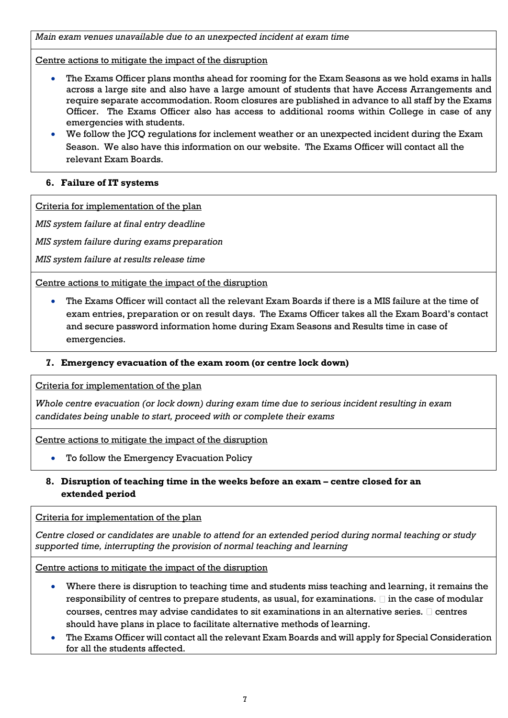*Main exam venues unavailable due to an unexpected incident at exam time*

Centre actions to mitigate the impact of the disruption

- The Exams Officer plans months ahead for rooming for the Exam Seasons as we hold exams in halls across a large site and also have a large amount of students that have Access Arrangements and require separate accommodation. Room closures are published in advance to all staff by the Exams Officer. The Exams Officer also has access to additional rooms within College in case of any emergencies with students.
- We follow the JCQ regulations for inclement weather or an unexpected incident during the Exam Season. We also have this information on our website. The Exams Officer will contact all the relevant Exam Boards.

# <span id="page-6-0"></span>**6. Failure of IT systems**

Criteria for implementation of the plan

*MIS system failure at final entry deadline*

*MIS system failure during exams preparation*

*MIS system failure at results release time*

Centre actions to mitigate the impact of the disruption

• The Exams Officer will contact all the relevant Exam Boards if there is a MIS failure at the time of exam entries, preparation or on result days. The Exams Officer takes all the Exam Board's contact and secure password information home during Exam Seasons and Results time in case of emergencies.

#### <span id="page-6-1"></span>**7. Emergency evacuation of the exam room (or centre lock down)**

Criteria for implementation of the plan

*Whole centre evacuation (or lock down) during exam time due to serious incident resulting in exam candidates being unable to start, proceed with or complete their exams*

Centre actions to mitigate the impact of the disruption

• To follow the Emergency Evacuation Policy

# <span id="page-6-2"></span>**8. Disruption of teaching time in the weeks before an exam – centre closed for an extended period**

Criteria for implementation of the plan

*Centre closed or candidates are unable to attend for an extended period during normal teaching or study supported time, interrupting the provision of normal teaching and learning*

Centre actions to mitigate the impact of the disruption

- Where there is disruption to teaching time and students miss teaching and learning, it remains the responsibility of centres to prepare students, as usual, for examinations.  $\Box$  in the case of modular courses, centres may advise candidates to sit examinations in an alternative series.  $\square$  centres should have plans in place to facilitate alternative methods of learning.
- The Exams Officer will contact all the relevant Exam Boards and will apply for Special Consideration for all the students affected.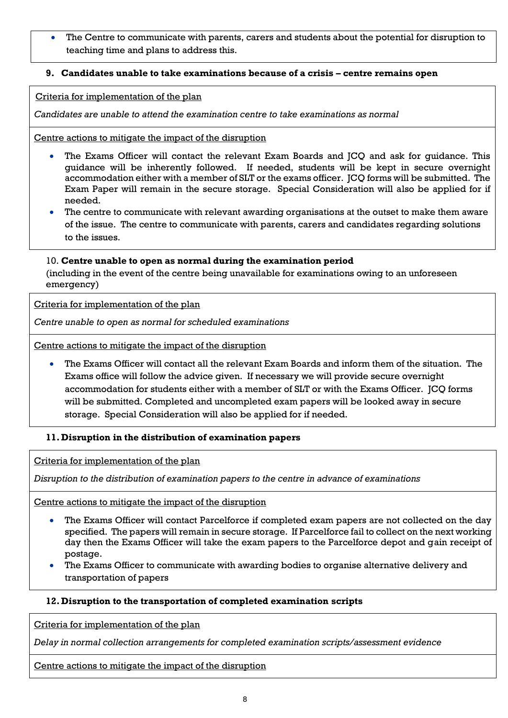The Centre to communicate with parents, carers and students about the potential for disruption to teaching time and plans to address this.

# <span id="page-7-0"></span>**9. Candidates unable to take examinations because of a crisis – centre remains open**

Criteria for implementation of the plan

*Candidates are unable to attend the examination centre to take examinations as normal*

Centre actions to mitigate the impact of the disruption

- The Exams Officer will contact the relevant Exam Boards and JCQ and ask for quidance. This guidance will be inherently followed. If needed, students will be kept in secure overnight accommodation either with a member of SLT or the exams officer. JCQ forms will be submitted. The Exam Paper will remain in the secure storage. Special Consideration will also be applied for if needed.
- The centre to communicate with relevant awarding organisations at the outset to make them aware of the issue. The centre to communicate with parents, carers and candidates regarding solutions to the issues.

#### <span id="page-7-1"></span>10. **Centre unable to open as normal during the examination period**

(including in the event of the centre being unavailable for examinations owing to an unforeseen emergency)

Criteria for implementation of the plan

*Centre unable to open as normal for scheduled examinations* 

Centre actions to mitigate the impact of the disruption

• The Exams Officer will contact all the relevant Exam Boards and inform them of the situation. The Exams office will follow the advice given. If necessary we will provide secure overnight accommodation for students either with a member of SLT or with the Exams Officer. JCQ forms will be submitted. Completed and uncompleted exam papers will be looked away in secure storage. Special Consideration will also be applied for if needed.

#### <span id="page-7-2"></span>**11. Disruption in the distribution of examination papers**

Criteria for implementation of the plan

*Disruption to the distribution of examination papers to the centre in advance of examinations*

Centre actions to mitigate the impact of the disruption

- The Exams Officer will contact Parcelforce if completed exam papers are not collected on the day specified. The papers will remain in secure storage. If Parcelforce fail to collect on the next working day then the Exams Officer will take the exam papers to the Parcelforce depot and gain receipt of postage.
- The Exams Officer to communicate with awarding bodies to organise alternative delivery and transportation of papers

#### <span id="page-7-3"></span>**12. Disruption to the transportation of completed examination scripts**

Criteria for implementation of the plan

*Delay in normal collection arrangements for completed examination scripts/assessment evidence*

Centre actions to mitigate the impact of the disruption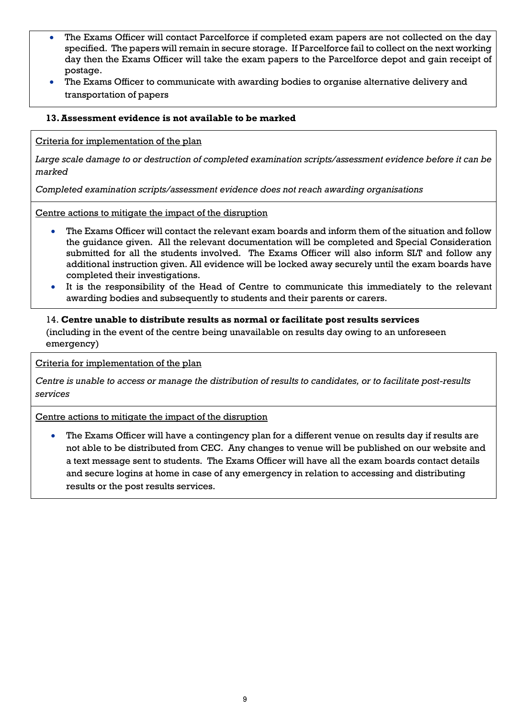- The Exams Officer will contact Parcelforce if completed exam papers are not collected on the day specified. The papers will remain in secure storage. If Parcelforce fail to collect on the next working day then the Exams Officer will take the exam papers to the Parcelforce depot and gain receipt of postage.
- The Exams Officer to communicate with awarding bodies to organise alternative delivery and transportation of papers

#### <span id="page-8-0"></span>**13.Assessment evidence is not available to be marked**

Criteria for implementation of the plan

*Large scale damage to or destruction of completed examination scripts/assessment evidence before it can be marked*

*Completed examination scripts/assessment evidence does not reach awarding organisations*

Centre actions to mitigate the impact of the disruption

- The Exams Officer will contact the relevant exam boards and inform them of the situation and follow the guidance given. All the relevant documentation will be completed and Special Consideration submitted for all the students involved. The Exams Officer will also inform SLT and follow any additional instruction given. All evidence will be locked away securely until the exam boards have completed their investigations.
- It is the responsibility of the Head of Centre to communicate this immediately to the relevant awarding bodies and subsequently to students and their parents or carers.

# <span id="page-8-1"></span>14. **Centre unable to distribute results as normal or facilitate post results services**

(including in the event of the centre being unavailable on results day owing to an unforeseen emergency)

Criteria for implementation of the plan

*Centre is unable to access or manage the distribution of results to candidates, or to facilitate post-results services*

Centre actions to mitigate the impact of the disruption

• The Exams Officer will have a contingency plan for a different venue on results day if results are not able to be distributed from CEC. Any changes to venue will be published on our website and a text message sent to students. The Exams Officer will have all the exam boards contact details and secure logins at home in case of any emergency in relation to accessing and distributing results or the post results services.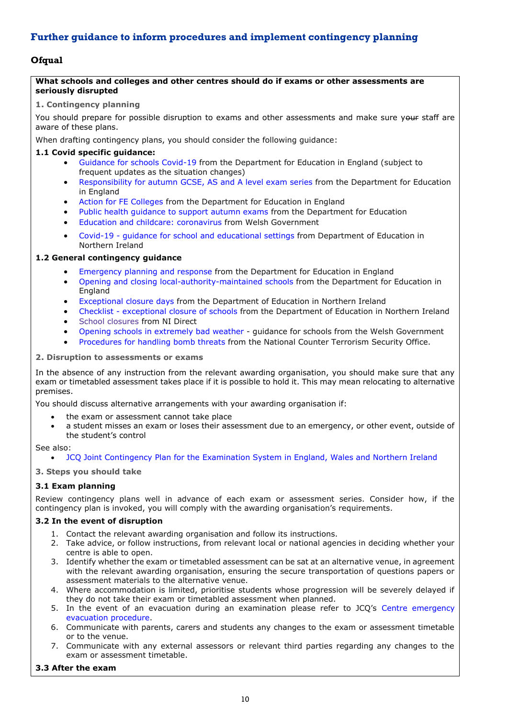# <span id="page-9-0"></span>**Further guidance to inform procedures and implement contingency planning**

#### <span id="page-9-1"></span>**Ofqual**

#### **What schools and colleges and other centres should do if exams or other assessments are seriously disrupted**

#### **1. Contingency planning**

You should prepare for possible disruption to exams and other assessments and make sure your staff are aware of these plans.

When drafting contingency plans, you should consider the following guidance:

#### <span id="page-9-2"></span>**1.1 Covid specific guidance:**

- [Guidance](https://www.gov.uk/government/collections/guidance-for-schools-coronavirus-covid-19#safe-working-and-protective-measures) for schools Covid-19 from the Department for Education in England (subject to frequent updates as the situation changes)
- [Responsibility](https://www.gov.uk/government/publications/responsibility-for-autumn-gcse-as-and-a-level-exam-series) for autumn GCSE, AS and A level exam series from the Department for Education in England
- Action for FE [Colleges](https://www.gov.uk/government/publications/coronavirus-covid-19-maintaining-further-education-provision) from the Department for Education in England
- Public health [guidance](https://www.gov.uk/government/publications/responsibility-for-autumn-gcse-as-and-a-level-exam-series/public-health-arrangements-for-autumn-exams) to support autumn exams from the Department for Education
- Education and childcare: [coronavirus](https://gov.wales/education-coronavirus) from Welsh Government
- Covid-19 guidance for school and [educational](https://www.education-ni.gov.uk/publications/coronavirus-covid-19-guidance-school-and-educational-settings-northern-ireland) settings from Department of Education in Northern Ireland

#### **1.2 General contingency guidance**

- [Emergency](https://www.gov.uk/guidance/emergencies-and-severe-weather-schools-and-early-years-settings) planning and response from the Department for Education in England
- Opening and closing [local-authority-maintained](https://www.gov.uk/government/publications/school-organisation-maintained-schools) schools from the Department for Education in England
- [Exceptional](https://www.education-ni.gov.uk/articles/exceptional-closure-days) closure days from the Department of Education in Northern Ireland
- Checklist [exceptional](https://www.education-ni.gov.uk/publications/checklist-exceptional-closure-schools) closure of schools from the Department of Education in Northern Ireland
- School [closures](https://gov.wales/opening-schools-extremely-bad-weather-guidance-schools) from NI Direct
- Opening schools in [extremely](https://gov.wales/opening-schools-extremely-bad-weather-guidance-schools) bad weather guidance for schools from the Welsh Government
- [Procedures](https://www.gov.uk/government/publications/bomb-threats-guidance) for handling bomb threats from the National Counter Terrorism Security Office.

#### **2. Disruption to assessments or exams**

In the absence of any instruction from the relevant awarding organisation, you should make sure that any exam or timetabled assessment takes place if it is possible to hold it. This may mean relocating to alternative premises.

You should discuss alternative arrangements with your awarding organisation if:

- the exam or assessment cannot take place
- a student misses an exam or loses their assessment due to an emergency, or other event, outside of the student's control

See also:

#### • JCQ Joint Contingency Plan for the [Examination](https://www.jcq.org.uk/exams-office/other-documents/jcq-joint-contingency-plan/) System in England, Wales and Northern Ireland

#### **3. Steps you should take**

#### **3.1 Exam planning**

Review contingency plans well in advance of each exam or assessment series. Consider how, if the contingency plan is invoked, you will comply with the awarding organisation's requirements.

#### **3.2 In the event of disruption**

- 1. Contact the relevant awarding organisation and follow its instructions.
- 2. Take advice, or follow instructions, from relevant local or national agencies in deciding whether your centre is able to open.
- 3. Identify whether the exam or timetabled assessment can be sat at an alternative venue, in agreement with the relevant awarding organisation, ensuring the secure transportation of questions papers or assessment materials to the alternative venue.
- 4. Where accommodation is limited, prioritise students whose progression will be severely delayed if they do not take their exam or timetabled assessment when planned.
- 5. In the event of an evacuation during an examination please refer to JCQ's Centre [emergency](https://www.jcq.org.uk/exams-office/ice---instructions-for-conducting-examinations/centre-emergency-evacuation-procedure) [evacuation](https://www.jcq.org.uk/exams-office/ice---instructions-for-conducting-examinations/centre-emergency-evacuation-procedure) procedure.
- 6. Communicate with parents, carers and students any changes to the exam or assessment timetable or to the venue.
- 7. Communicate with any external assessors or relevant third parties regarding any changes to the exam or assessment timetable.

#### **3.3 After the exam**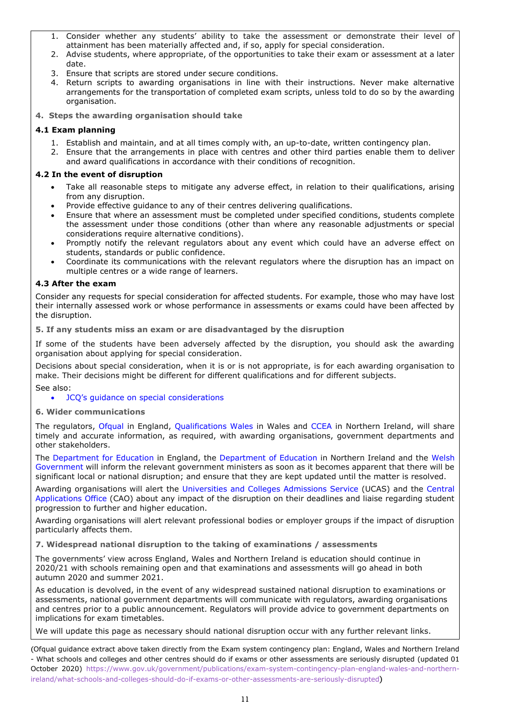- 1. Consider whether any students' ability to take the assessment or demonstrate their level of attainment has been materially affected and, if so, apply for special consideration.
- 2. Advise students, where appropriate, of the opportunities to take their exam or assessment at a later date.
- 3. Ensure that scripts are stored under secure conditions.
- 4. Return scripts to awarding organisations in line with their instructions. Never make alternative arrangements for the transportation of completed exam scripts, unless told to do so by the awarding organisation.
- **4. Steps the awarding organisation should take**

#### **4.1 Exam planning**

- 1. Establish and maintain, and at all times comply with, an up-to-date, written contingency plan.
- 2. Ensure that the arrangements in place with centres and other third parties enable them to deliver and award qualifications in accordance with their conditions of recognition.

#### **4.2 In the event of disruption**

- Take all reasonable steps to mitigate any adverse effect, in relation to their qualifications, arising from any disruption.
- Provide effective guidance to any of their centres delivering qualifications.
- Ensure that where an assessment must be completed under specified conditions, students complete the assessment under those conditions (other than where any reasonable adjustments or special considerations require alternative conditions).
- Promptly notify the relevant regulators about any event which could have an adverse effect on students, standards or public confidence.
- Coordinate its communications with the relevant regulators where the disruption has an impact on multiple centres or a wide range of learners.

#### **4.3 After the exam**

Consider any requests for special consideration for affected students. For example, those who may have lost their internally assessed work or whose performance in assessments or exams could have been affected by the disruption.

**5. If any students miss an exam or are disadvantaged by the disruption**

If some of the students have been adversely affected by the disruption, you should ask the awarding organisation about applying for special consideration.

Decisions about special consideration, when it is or is not appropriate, is for each awarding organisation to make. Their decisions might be different for different qualifications and for different subjects. See also:

#### • JCQ's guidance on special [considerations](https://www.jcq.org.uk/exams-office/access-arrangements-and-special-consideration/regulations-and-guidance)

#### **6. Wider communications**

The regulators, [Ofqual](https://www.gov.uk/ofqual) in England, [Qualifications](http://qualificationswales.org/) Wales in Wales and [CCEA](http://ccea.org.uk/) in Northern Ireland, will share timely and accurate information, as required, with awarding organisations, government departments and other stakeholders.

The [Department](https://www.gov.uk/government/organisations/department-for-education) for Education in England, the [Department](https://www.education-ni.gov.uk/) of Education in Northern Ireland and the [Welsh](http://gov.wales/topics/educationandskills/?lang=en) [Government](http://gov.wales/topics/educationandskills/?lang=en) will inform the relevant government ministers as soon as it becomes apparent that there will be significant local or national disruption; and ensure that they are kept updated until the matter is resolved.

Awarding organisations will alert the [Universities](https://www.ucas.com/) and Colleges Admissions Service (UCAS) and the [Central](http://www.cao.ie/) [Applications](http://www.cao.ie/) Office (CAO) about any impact of the disruption on their deadlines and liaise regarding student progression to further and higher education.

Awarding organisations will alert relevant professional bodies or employer groups if the impact of disruption particularly affects them.

<span id="page-10-0"></span>**7. Widespread national disruption to the taking of examinations / assessments**

The governments' view across England, Wales and Northern Ireland is education should continue in 2020/21 with schools remaining open and that examinations and assessments will go ahead in both autumn 2020 and summer 2021.

As education is devolved, in the event of any widespread sustained national disruption to examinations or assessments, national government departments will communicate with regulators, awarding organisations and centres prior to a public announcement. Regulators will provide advice to government departments on implications for exam timetables.

We will update this page as necessary should national disruption occur with any further relevant links.

(Ofqual guidance extract above taken directly from the Exam system contingency plan: England, Wales and Northern Ireland - What schools and colleges and other centres should do if exams or other assessments are seriously disrupted (updated 01 October 2020) [https://www.gov.uk/government/publications/exam-system-contingency-plan-england-wales-and-northern](https://www.gov.uk/government/publications/exam-system-contingency-plan-england-wales-and-northern-ireland/what-schools-and-colleges-should-do-if-exams-or-other-assessments-are-seriously-disrupted)[ireland/what-schools-and-colleges-should-do-if-exams-or-other-assessments-are-seriously-disrupted](https://www.gov.uk/government/publications/exam-system-contingency-plan-england-wales-and-northern-ireland/what-schools-and-colleges-should-do-if-exams-or-other-assessments-are-seriously-disrupted))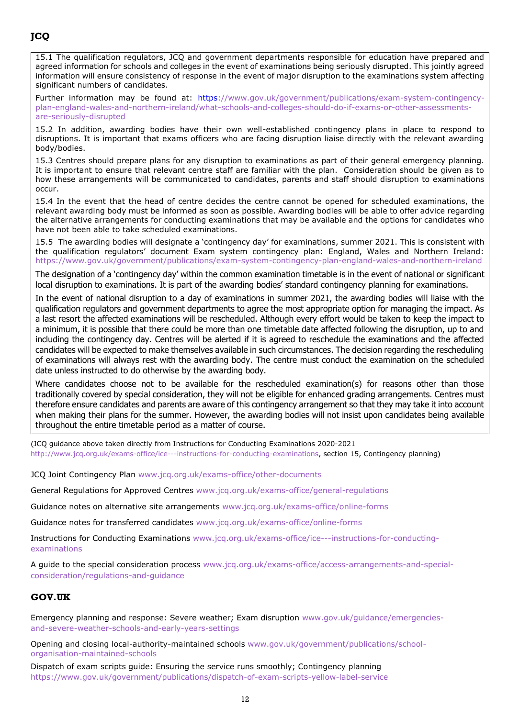<span id="page-11-0"></span>15.1 The qualification regulators, JCQ and government departments responsible for education have prepared and agreed information for schools and colleges in the event of examinations being seriously disrupted. This jointly agreed information will ensure consistency of response in the event of major disruption to the examinations system affecting significant numbers of candidates.

Further information may be found at: [https://www.gov.uk/government/publications/exam-system-contingency](https://www.gov.uk/government/publications/exam-system-contingency-plan-england-wales-and-northern-ireland/what-schools-and-colleges-should-do-if-exams-or-other-assessments-are-seriously-disrupted)[plan-england-wales-and-northern-ireland/what-schools-and-colleges-should-do-if-exams-or-other-assessments](https://www.gov.uk/government/publications/exam-system-contingency-plan-england-wales-and-northern-ireland/what-schools-and-colleges-should-do-if-exams-or-other-assessments-are-seriously-disrupted)[are-seriously-disrupted](https://www.gov.uk/government/publications/exam-system-contingency-plan-england-wales-and-northern-ireland/what-schools-and-colleges-should-do-if-exams-or-other-assessments-are-seriously-disrupted)

15.2 In addition, awarding bodies have their own well-established contingency plans in place to respond to disruptions. It is important that exams officers who are facing disruption liaise directly with the relevant awarding body/bodies.

15.3 Centres should prepare plans for any disruption to examinations as part of their general emergency planning. It is important to ensure that relevant centre staff are familiar with the plan. Consideration should be given as to how these arrangements will be communicated to candidates, parents and staff should disruption to examinations occur.

15.4 In the event that the head of centre decides the centre cannot be opened for scheduled examinations, the relevant awarding body must be informed as soon as possible. Awarding bodies will be able to offer advice regarding the alternative arrangements for conducting examinations that may be available and the options for candidates who have not been able to take scheduled examinations.

15.5 The awarding bodies will designate a 'contingency day' for examinations, summer 2021. This is consistent with the qualification regulators' document Exam system contingency plan: England, Wales and Northern Ireland: <https://www.gov.uk/government/publications/exam-system-contingency-plan-england-wales-and-northern-ireland>

The designation of a 'contingency day' within the common examination timetable is in the event of national or significant local disruption to examinations. It is part of the awarding bodies' standard contingency planning for examinations.

In the event of national disruption to a day of examinations in summer 2021, the awarding bodies will liaise with the qualification regulators and government departments to agree the most appropriate option for managing the impact. As a last resort the affected examinations will be rescheduled. Although every effort would be taken to keep the impact to a minimum, it is possible that there could be more than one timetable date affected following the disruption, up to and including the contingency day. Centres will be alerted if it is agreed to reschedule the examinations and the affected candidates will be expected to make themselves available in such circumstances. The decision regarding the rescheduling of examinations will always rest with the awarding body. The centre must conduct the examination on the scheduled date unless instructed to do otherwise by the awarding body.

Where candidates choose not to be available for the rescheduled examination(s) for reasons other than those traditionally covered by special consideration, they will not be eligible for enhanced grading arrangements. Centres must therefore ensure candidates and parents are aware of this contingency arrangement so that they may take it into account when making their plans for the summer. However, the awarding bodies will not insist upon candidates being available throughout the entire timetable period as a matter of course.

(JCQ guidance above taken directly from Instructions for Conducting Examinations 2020-2021 [http://www.jcq.org.uk/exams-office/ice---instructions-for-conducting-examinations,](http://www.jcq.org.uk/exams-office/ice---instructions-for-conducting-examinations) section 15, Contingency planning)

JCQ Joint Contingency Plan [www.jcq.org.uk/exams-office/other-documents](http://www.jcq.org.uk/exams-office/other-documents)

General Regulations for Approved Centres [www.jcq.org.uk/exams-office/general-regulations](http://www.jcq.org.uk/exams-office/general-regulations)

Guidance notes on alternative site arrangements [www.jcq.org.uk/exams-office/online-forms](http://www.jcq.org.uk/exams-office/online-forms)

Guidance notes for transferred candidates [www.jcq.org.uk/exams-office/online-forms](http://www.jcq.org.uk/exams-office/online-forms)

Instructions for Conducting Examinations [www.jcq.org.uk/exams-office/ice---instructions-for-conducting](http://www.jcq.org.uk/exams-office/ice---instructions-for-conducting-examinations)[examinations](http://www.jcq.org.uk/exams-office/ice---instructions-for-conducting-examinations) 

A guide to the special consideration process [www.jcq.org.uk/exams-office/access-arrangements-and-special](http://www.jcq.org.uk/exams-office/access-arrangements-and-special-consideration/regulations-and-guidance)[consideration/regulations-and-guidance](http://www.jcq.org.uk/exams-office/access-arrangements-and-special-consideration/regulations-and-guidance)

#### <span id="page-11-1"></span>**GOV.UK**

Emergency planning and response: Severe weather; Exam disruption [www.gov.uk/guidance/emergencies](http://www.gov.uk/guidance/emergencies-and-severe-weather-schools-and-early-years-settings)[and-severe-weather-schools-and-early-years-settings](http://www.gov.uk/guidance/emergencies-and-severe-weather-schools-and-early-years-settings)

Opening and closing local-authority-maintained schools [www.gov.uk/government/publications/school](http://www.gov.uk/government/publications/school-organisation-maintained-schools)[organisation-maintained-schools](http://www.gov.uk/government/publications/school-organisation-maintained-schools)

Dispatch of exam scripts guide: Ensuring the service runs smoothly; Contingency planning <https://www.gov.uk/government/publications/dispatch-of-exam-scripts-yellow-label-service>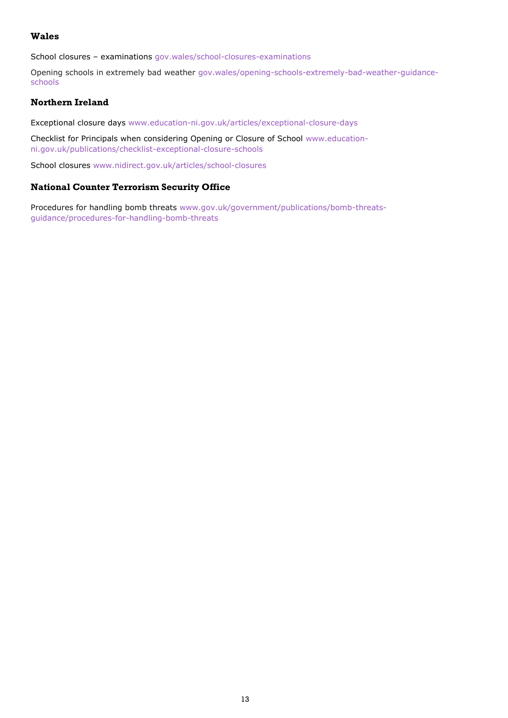#### <span id="page-12-0"></span>**Wales**

School closures – examinations [gov.wales/school-closures-examinations](https://gov.wales/school-closures-examinations)

Opening schools in extremely bad weather [gov.wales/opening-schools-extremely-bad-weather-guidance](https://gov.wales/opening-schools-extremely-bad-weather-guidance-schools)[schools](https://gov.wales/opening-schools-extremely-bad-weather-guidance-schools)

#### <span id="page-12-1"></span>**Northern Ireland**

Exceptional closure days [www.education-ni.gov.uk/articles/exceptional-closure-days](http://www.education-ni.gov.uk/articles/exceptional-closure-days)

Checklist for Principals when considering Opening or Closure of School [www.education](http://www.education-ni.gov.uk/publications/checklist-exceptional-closure-schools)[ni.gov.uk/publications/checklist-exceptional-closure-schools](http://www.education-ni.gov.uk/publications/checklist-exceptional-closure-schools)

School closures [www.nidirect.gov.uk/articles/school-closures](http://www.nidirect.gov.uk/articles/school-closures)

#### <span id="page-12-2"></span>**National Counter Terrorism Security Office**

Procedures for handling bomb threats [www.gov.uk/government/publications/bomb-threats](http://www.gov.uk/government/publications/bomb-threats-guidance/procedures-for-handling-bomb-threats)[guidance/procedures-for-handling-bomb-threats](http://www.gov.uk/government/publications/bomb-threats-guidance/procedures-for-handling-bomb-threats)